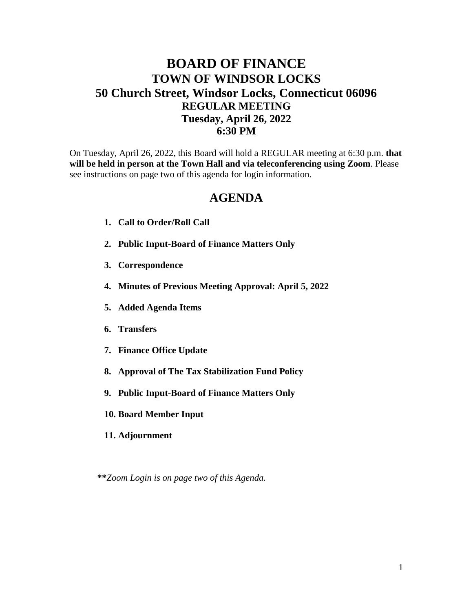## **BOARD OF FINANCE TOWN OF WINDSOR LOCKS 50 Church Street, Windsor Locks, Connecticut 06096 REGULAR MEETING Tuesday, April 26, 2022 6:30 PM**

On Tuesday, April 26, 2022, this Board will hold a REGULAR meeting at 6:30 p.m. **that will be held in person at the Town Hall and via teleconferencing using Zoom**. Please see instructions on page two of this agenda for login information.

## **AGENDA**

- **1. Call to Order/Roll Call**
- **2. Public Input-Board of Finance Matters Only**
- **3. Correspondence**
- **4. Minutes of Previous Meeting Approval: April 5, 2022**
- **5. Added Agenda Items**
- **6. Transfers**
- **7. Finance Office Update**
- **8. Approval of The Tax Stabilization Fund Policy**
- **9. Public Input-Board of Finance Matters Only**
- **10. Board Member Input**
- **11. Adjournment**

**\*\****Zoom Login is on page two of this Agenda.*